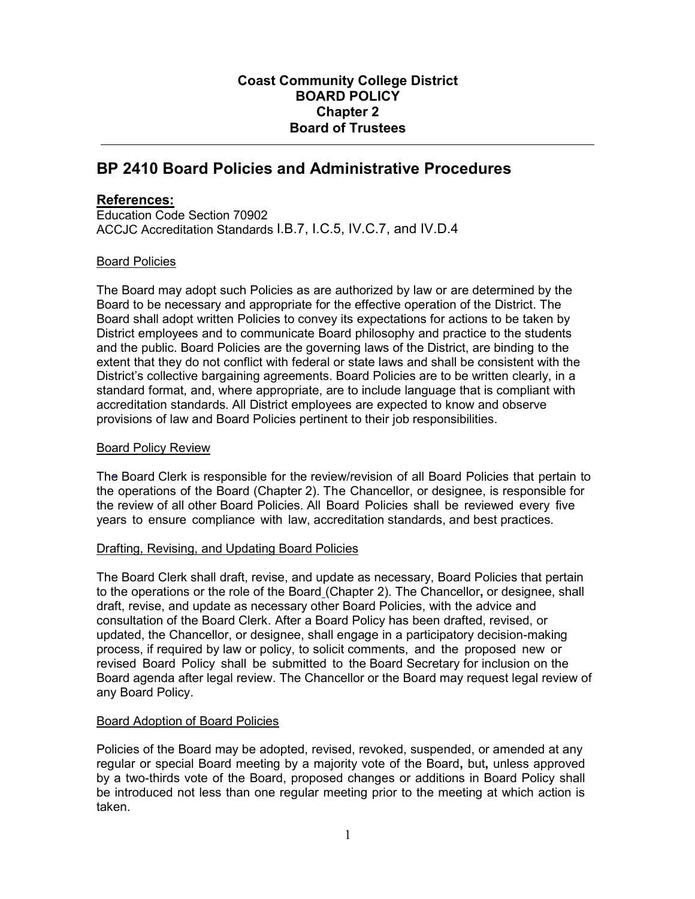# **Coast Community College District BOARD POLICY Chapter 2 Board of Trustees**

# **BP 2410 Board Policies and Administrative Procedures**

## **References:**

Education Code Section 70902 ACCJC Accreditation Standards I.B.7, I.C.5, IV.C.7, and IV.D.4

## Board Policies

The Board may adopt such Policies as are authorized by law or are determined by the Board to be necessary and appropriate for the effective operation of the District. The Board shall adopt written Policies to convey its expectations for actions to be taken by District employees and to communicate Board philosophy and practice to the students and the public. Board Policies are the governing laws of the District, are binding to the extent that they do not conflict with federal or state laws and shall be consistent with the District's collective bargaining agreements. Board Policies are to be written clearly, in a standard format, and, where appropriate, are to include language that is compliant with accreditation standards. All District employees are expected to know and observe provisions of law and Board Policies pertinent to their job responsibilities.

#### Board Policy Review

The Board Clerk is responsible for the review/revision of all Board Policies that pertain to the operations of the Board (Chapter 2). The Chancellor, or designee, is responsible for the review of all other Board Policies. All Board Policies shall be reviewed every five years to ensure compliance with law, accreditation standards, and best practices.

#### Drafting, Revising, and Updating Board Policies

The Board Clerk shall draft, revise, and update as necessary, Board Policies that pertain to the operations or the role of the Board (Chapter 2). The Chancellor**,** or designee, shall draft, revise, and update as necessary other Board Policies, with the advice and consultation of the Board Clerk. After a Board Policy has been drafted, revised, or updated, the Chancellor, or designee, shall engage in a participatory decision-making process, if required by law or policy, to solicit comments, and the proposed new or revised Board Policy shall be submitted to the Board Secretary for inclusion on the Board agenda after legal review. The Chancellor or the Board may request legal review of any Board Policy.

## Board Adoption of Board Policies

Policies of the Board may be adopted, revised, revoked, suspended, or amended at any regular or special Board meeting by a majority vote of the Board**,** but**,** unless approved by a two-thirds vote of the Board, proposed changes or additions in Board Policy shall be introduced not less than one regular meeting prior to the meeting at which action is taken.